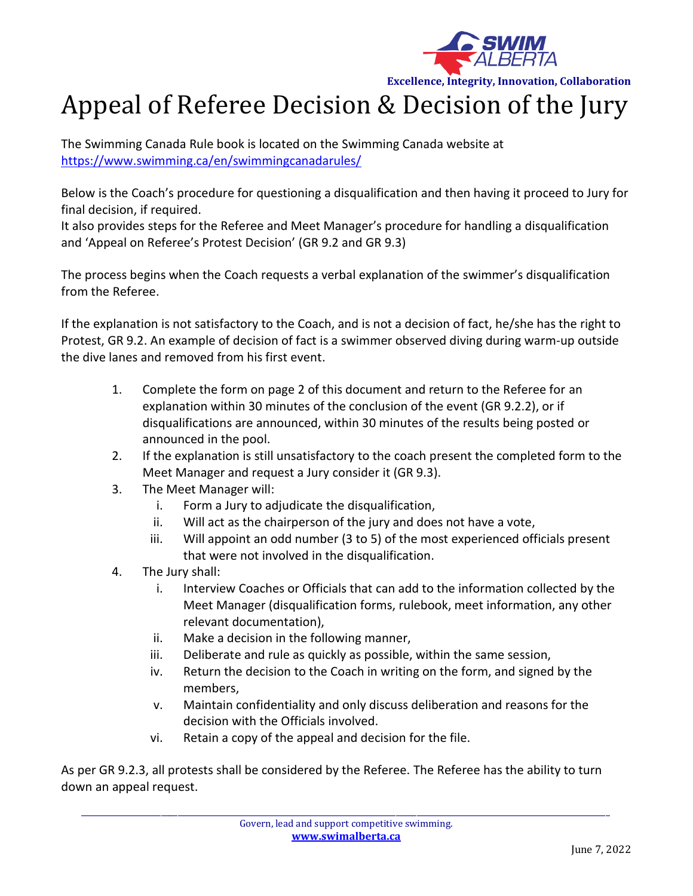

**Excellence, Integrity, Innovation, Collaboration**

## Appeal of Referee Decision & Decision of the Jury

The Swimming Canada Rule book is located on the Swimming Canada website at <https://www.swimming.ca/en/swimmingcanadarules/>

Below is the Coach's procedure for questioning a disqualification and then having it proceed to Jury for final decision, if required.

It also provides steps for the Referee and Meet Manager's procedure for handling a disqualification and 'Appeal on Referee's Protest Decision' (GR 9.2 and GR 9.3)

The process begins when the Coach requests a verbal explanation of the swimmer's disqualification from the Referee.

If the explanation is not satisfactory to the Coach, and is not a decision of fact, he/she has the right to Protest, GR 9.2. An example of decision of fact is a swimmer observed diving during warm-up outside the dive lanes and removed from his first event.

- 1. Complete the form on page 2 of this document and return to the Referee for an explanation within 30 minutes of the conclusion of the event (GR 9.2.2), or if disqualifications are announced, within 30 minutes of the results being posted or announced in the pool.
- 2. If the explanation is still unsatisfactory to the coach present the completed form to the Meet Manager and request a Jury consider it (GR 9.3).
- 3. The Meet Manager will:
	- i. Form a Jury to adjudicate the disqualification,
	- ii. Will act as the chairperson of the jury and does not have a vote,
	- iii. Will appoint an odd number (3 to 5) of the most experienced officials present that were not involved in the disqualification.
- 4. The Jury shall:
	- i. Interview Coaches or Officials that can add to the information collected by the Meet Manager (disqualification forms, rulebook, meet information, any other relevant documentation),
	- ii. Make a decision in the following manner,
	- iii. Deliberate and rule as quickly as possible, within the same session,
	- iv. Return the decision to the Coach in writing on the form, and signed by the members,
	- v. Maintain confidentiality and only discuss deliberation and reasons for the decision with the Officials involved.
	- vi. Retain a copy of the appeal and decision for the file.

As per GR 9.2.3, all protests shall be considered by the Referee. The Referee has the ability to turn down an appeal request.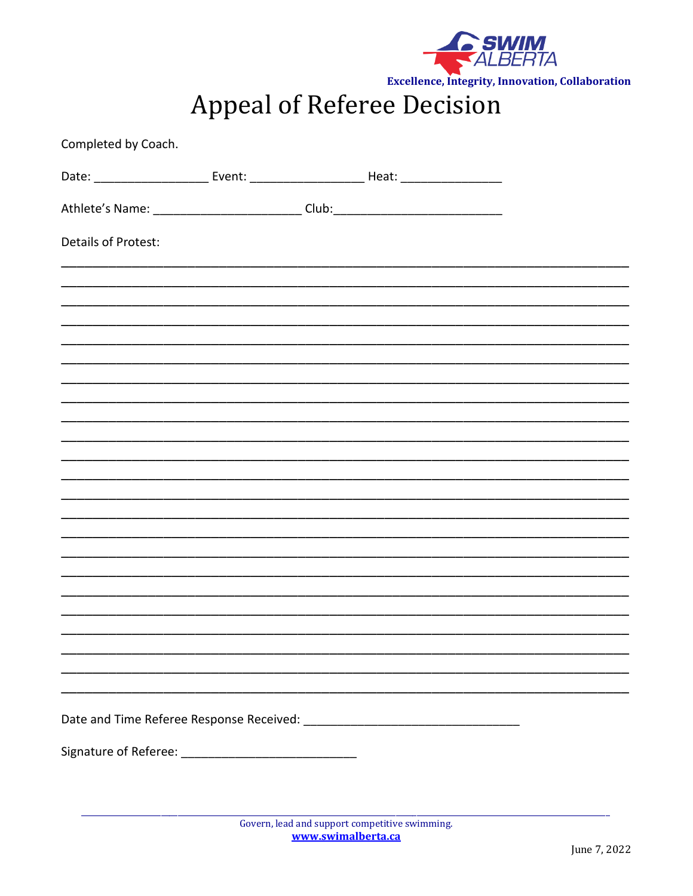

**Excellence, Integrity, Innovation, Collaboration** 

**Appeal of Referee Decision** 

| Completed by Coach.                                                              |  |  |
|----------------------------------------------------------------------------------|--|--|
|                                                                                  |  |  |
| Athlete's Name: ___________________________Club:________________________________ |  |  |
| Details of Protest:                                                              |  |  |
|                                                                                  |  |  |
|                                                                                  |  |  |
|                                                                                  |  |  |
|                                                                                  |  |  |
|                                                                                  |  |  |
|                                                                                  |  |  |
|                                                                                  |  |  |
|                                                                                  |  |  |
|                                                                                  |  |  |
|                                                                                  |  |  |
|                                                                                  |  |  |
|                                                                                  |  |  |
|                                                                                  |  |  |
|                                                                                  |  |  |
|                                                                                  |  |  |
|                                                                                  |  |  |
|                                                                                  |  |  |